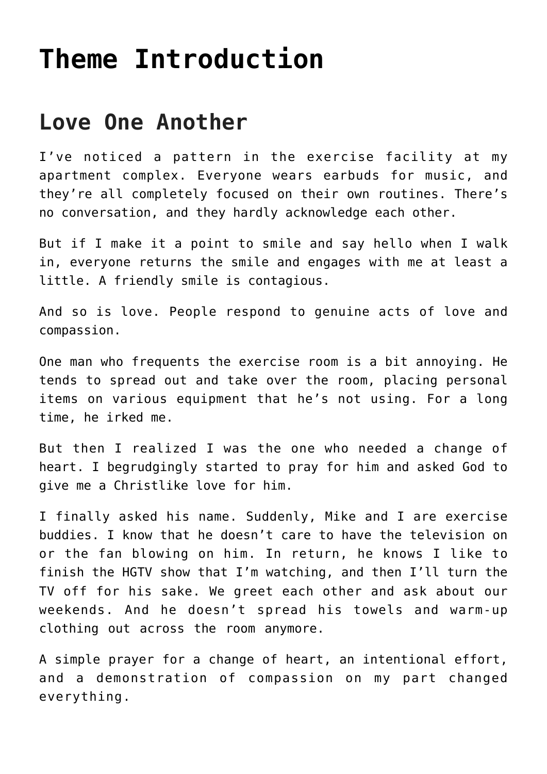## **[Theme Introduction](https://www.prayerleader.com/theme-introduction-37/)**

## **Love One Another**

I've noticed a pattern in the exercise facility at my apartment complex. Everyone wears earbuds for music, and they're all completely focused on their own routines. There's no conversation, and they hardly acknowledge each other.

But if I make it a point to smile and say hello when I walk in, everyone returns the smile and engages with me at least a little. A friendly smile is contagious.

And so is love. People respond to genuine acts of love and compassion.

One man who frequents the exercise room is a bit annoying. He tends to spread out and take over the room, placing personal items on various equipment that he's not using. For a long time, he irked me.

But then I realized I was the one who needed a change of heart. I begrudgingly started to pray for him and asked God to give me a Christlike love for him.

I finally asked his name. Suddenly, Mike and I are exercise buddies. I know that he doesn't care to have the television on or the fan blowing on him. In return, he knows I like to finish the HGTV show that I'm watching, and then I'll turn the TV off for his sake. We greet each other and ask about our weekends. And he doesn't spread his towels and warm-up clothing out across the room anymore.

A simple prayer for a change of heart, an intentional effort, and a demonstration of compassion on my part changed everything.